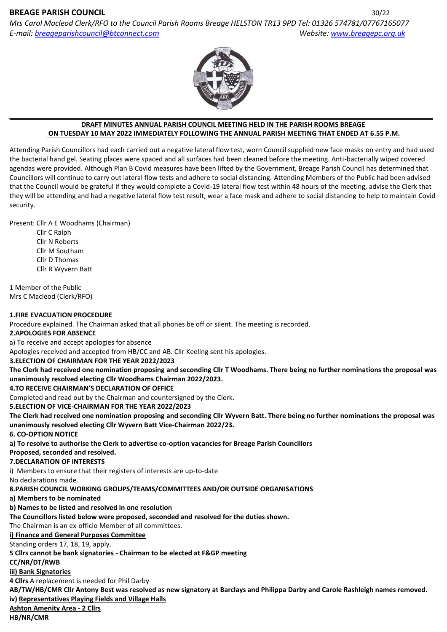# **BREAGE PARISH COUNCIL** 30/22

*Mrs Carol Macleod Clerk/RFO to the Council Parish Rooms Breage HELSTON TR13 9PD Tel: 01326 574781/07767165077 E-mail: [breageparishcouncil@btconnect.com](mailto:breageparishcouncil@btconnect.com) Website[: www.breagepc.org.uk](http://www.breagepc.org.uk/)*



#### **DRAFT MINUTES ANNUAL PARISH COUNCIL MEETING HELD IN THE PARISH ROOMS BREAGE ON TUESDAY 10 MAY 2022 IMMEDIATELY FOLLOWING THE ANNUAL PARISH MEETING THAT ENDED AT 6.55 P.M.**

Attending Parish Councillors had each carried out a negative lateral flow test, worn Council supplied new face masks on entry and had used the bacterial hand gel. Seating places were spaced and all surfaces had been cleaned before the meeting. Anti-bacterially wiped covered agendas were provided. Although Plan B Covid measures have been lifted by the Government, Breage Parish Council has determined that Councillors will continue to carry out lateral flow tests and adhere to social distancing. Attending Members of the Public had been advised that the Council would be grateful if they would complete a Covid-19 lateral flow test within 48 hours of the meeting, advise the Clerk that they will be attending and had a negative lateral flow test result, wear a face mask and adhere to social distancing to help to maintain Covid security.

Present: Cllr A E Woodhams (Chairman)

Cllr C Ralph Cllr N Roberts Cllr M Southam Cllr D Thomas Cllr R Wyvern Batt

1 Member of the Public Mrs C Macleod (Clerk/RFO)

### **1.FIRE EVACUATION PROCEDURE**

Procedure explained. The Chairman asked that all phones be off or silent. The meeting is recorded.

**2.APOLOGIES FOR ABSENCE**

a) To receive and accept apologies for absence

Apologies received and accepted from HB/CC and AB. Cllr Keeling sent his apologies.

## **3.ELECTION OF CHAIRMAN FOR THE YEAR 2022/2023**

**The Clerk had received one nomination proposing and seconding Cllr T Woodhams. There being no further nominations the proposal was unanimously resolved electing Cllr Woodhams Chairman 2022/2023.**

## **4.TO RECEIVE CHAIRMAN'S DECLARATION OF OFFICE**

Completed and read out by the Chairman and countersigned by the Clerk.

**5.ELECTION OF VICE-CHAIRMAN FOR THE YEAR 2022/2023**

**The Clerk had received one nomination proposing and seconding Cllr Wyvern Batt. There being no further nominations the proposal was unanimously resolved electing Cllr Wyvern Batt Vice-Chairman 2022/23.**

**6. CO-OPTION NOTICE**

**a) To resolve to authorise the Clerk to advertise co-option vacancies for Breage Parish Councillors**

**Proposed, seconded and resolved.**

#### **7.DECLARATION OF INTERESTS**

i) Members to ensure that their registers of interests are up-to-date

No declarations made.

**8.PARISH COUNCIL WORKING GROUPS/TEAMS/COMMITTEES AND/OR OUTSIDE ORGANISATIONS**

**a) Members to be nominated** 

**b) Names to be listed and resolved in one resolution**

**The Councillors listed below were proposed, seconded and resolved for the duties shown.** 

The Chairman is an ex-officio Member of all committees.

**i) Finance and General Purposes Committee**

Standing orders 17, 18, 19, apply.

**5 Cllrs cannot be bank signatories - Chairman to be elected at F&GP meeting**

# **CC/NR/DT/RWB**

**iii) Bank Signatories**

**4 Cllrs** A replacement is needed for Phil Darby

**AB/TW/HB/CMR Cllr Antony Best was resolved as new signatory at Barclays and Philippa Darby and Carole Rashleigh names removed. iv) Representatives Playing Fields and Village Halls**

# **Ashton Amenity Area - 2 Cllrs**

**HB/NR/CMR**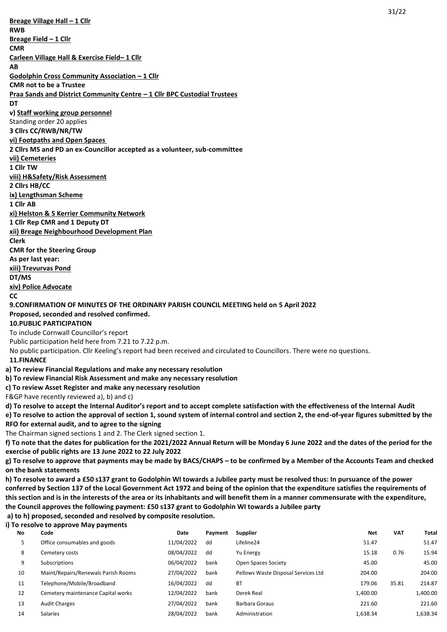31/22 **Breage Village Hall – 1 Cllr RWB Breage Field – 1 Cllr CMR Carleen Village Hall & Exercise Field– 1 Cllr AB Godolphin Cross Community Association – 1 Cllr CMR not to be a Trustee Praa Sands and District Community Centre – 1 Cllr BPC Custodial Trustees DT v) Staff working group personnel**  Standing order 20 applies **3 Cllrs CC/RWB/NR/TW vi) Footpaths and Open Spaces 2 Cllrs MS and PD an ex-Councillor accepted as a volunteer, sub-committee vii) Cemeteries 1 Cllr TW viii) H&Safety/Risk Assessment 2 Cllrs HB/CC ix) Lengthsman Scheme 1 Cllr AB xi) Helston & S Kerrier Community Network 1 Cllr Rep CMR and 1 Deputy DT xii) Breage Neighbourhood Development Plan Clerk CMR for the Steering Group As per last year: xiii) Trevurvas Pond DT/MS xiv) Police Advocate CC 9.CONFIRMATION OF MINUTES OF THE ORDINARY PARISH COUNCIL MEETING held on 5 April 2022 Proposed, seconded and resolved confirmed. 10.PUBLIC PARTICIPATION** To include Cornwall Councillor's report Public participation held here from 7.21 to 7.22 p.m. No public participation. Cllr Keeling's report had been received and circulated to Councillors. There were no questions. **11.FINANCE a) To review Financial Regulations and make any necessary resolution b) To review Financial Risk Assessment and make any necessary resolution c) To review Asset Register and make any necessary resolution** F&GP have recently reviewed a), b) and c) **d) To resolve to accept the Internal Auditor's report and to accept complete satisfaction with the effectiveness of the Internal Audit e) To resolve to action the approval of section 1, sound system of internal control and section 2, the end-of-year figures submitted by the RFO for external audit, and to agree to the signing** The Chairman signed sections 1 and 2. The Clerk signed section 1. **f) To note that the dates for publication for the 2021/2022 Annual Return will be Monday 6 June 2022 and the dates of the period for the exercise of public rights are 13 June 2022 to 22 July 2022 g) To resolve to approve that payments may be made by BACS/CHAPS – to be confirmed by a Member of the Accounts Team and checked on the bank statements h) To resolve to award a £50 s137 grant to Godolphin WI towards a Jubilee party must be resolved thus: In pursuance of the power conferred by Section 137 of the Local Government Act 1972 and being of the opinion that the expenditure satisfies the requirements of this section and is in the interests of the area or its inhabitants and will benefit them in a manner commensurate with the expenditure, the Council approves the following payment: £50 s137 grant to Godolphin WI towards a Jubilee party**

# **a) to h) proposed, seconded and resolved by composite resolution.**

**i) To resolve to approve May payments**

| No | Code                                | Date       | Pavment | <b>Supplier</b>                     | Net      | <b>VAT</b> | Total    |
|----|-------------------------------------|------------|---------|-------------------------------------|----------|------------|----------|
| 5  | Office consumables and goods        | 11/04/2022 | dd      | Lifeline24                          | 51.47    |            | 51.47    |
| 8  | Cemetery costs                      | 08/04/2022 | dd      | Yu Energy                           | 15.18    | 0.76       | 15.94    |
| 9  | Subscriptions                       | 06/04/2022 | bank    | Open Spaces Society                 | 45.00    |            | 45.00    |
| 10 | Maint/Repairs/Renewals Parish Rooms | 27/04/2022 | bank    | Pellows Waste Disposal Services Ltd | 204.00   |            | 204.00   |
| 11 | Telephone/Mobile/Broadband          | 16/04/2022 | dd      | <b>BT</b>                           | 179.06   | 35.81      | 214.87   |
| 12 | Cemetery maintenance Capital works  | 12/04/2022 | bank    | Derek Real                          | 1,400.00 |            | 1,400.00 |
| 13 | <b>Audit Charges</b>                | 27/04/2022 | bank    | Barbara Goraus                      | 221.60   |            | 221.60   |
| 14 | <b>Salaries</b>                     | 28/04/2022 | bank    | Administration                      | 1,638.34 |            | 1,638.34 |
|    |                                     |            |         |                                     |          |            |          |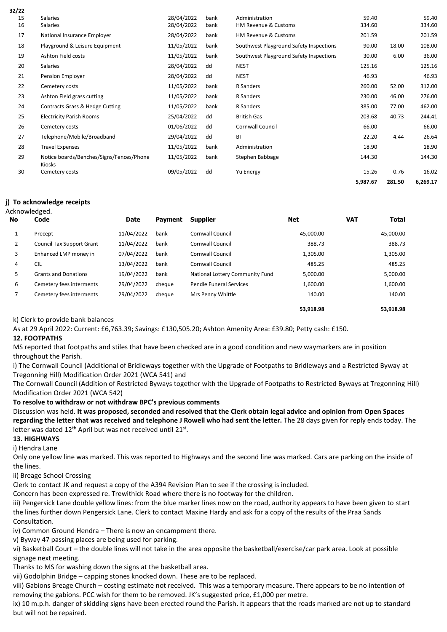| 32/22 |                                                    |            |      |                                         |          |        |          |
|-------|----------------------------------------------------|------------|------|-----------------------------------------|----------|--------|----------|
| 15    | <b>Salaries</b>                                    | 28/04/2022 | bank | Administration                          | 59.40    |        | 59.40    |
| 16    | Salaries                                           | 28/04/2022 | bank | <b>HM Revenue &amp; Customs</b>         | 334.60   |        | 334.60   |
| 17    | National Insurance Employer                        | 28/04/2022 | bank | HM Revenue & Customs                    | 201.59   |        | 201.59   |
| 18    | Playground & Leisure Equipment                     | 11/05/2022 | bank | Southwest Playground Safety Inspections | 90.00    | 18.00  | 108.00   |
| 19    | Ashton Field costs                                 | 11/05/2022 | bank | Southwest Playground Safety Inspections | 30.00    | 6.00   | 36.00    |
| 20    | Salaries                                           | 28/04/2022 | dd   | <b>NEST</b>                             | 125.16   |        | 125.16   |
| 21    | Pension Employer                                   | 28/04/2022 | dd   | <b>NEST</b>                             | 46.93    |        | 46.93    |
| 22    | Cemetery costs                                     | 11/05/2022 | bank | R Sanders                               | 260.00   | 52.00  | 312.00   |
| 23    | Ashton Field grass cutting                         | 11/05/2022 | bank | R Sanders                               | 230.00   | 46.00  | 276.00   |
| 24    | Contracts Grass & Hedge Cutting                    | 11/05/2022 | bank | R Sanders                               | 385.00   | 77.00  | 462.00   |
| 25    | <b>Electricity Parish Rooms</b>                    | 25/04/2022 | dd   | <b>British Gas</b>                      | 203.68   | 40.73  | 244.41   |
| 26    | Cemetery costs                                     | 01/06/2022 | dd   | Cornwall Council                        | 66.00    |        | 66.00    |
| 27    | Telephone/Mobile/Broadband                         | 29/04/2022 | dd   | <b>BT</b>                               | 22.20    | 4.44   | 26.64    |
| 28    | <b>Travel Expenses</b>                             | 11/05/2022 | bank | Administration                          | 18.90    |        | 18.90    |
| 29    | Notice boards/Benches/Signs/Fences/Phone<br>Kiosks | 11/05/2022 | bank | Stephen Babbage                         | 144.30   |        | 144.30   |
| 30    | Cemetery costs                                     | 09/05/2022 | dd   | Yu Energy                               | 15.26    | 0.76   | 16.02    |
|       |                                                    |            |      |                                         | 5,987.67 | 281.50 | 6,269.17 |

## **j) To acknowledge receipts**

| Acknowledged. |                                  |            |                |                                 |            |            |           |  |
|---------------|----------------------------------|------------|----------------|---------------------------------|------------|------------|-----------|--|
| No            | Code<br>Date                     |            | <b>Payment</b> | <b>Supplier</b>                 | <b>Net</b> | <b>VAT</b> | Total     |  |
|               | Precept                          | 11/04/2022 | bank           | Cornwall Council                | 45.000.00  |            | 45,000.00 |  |
| 2             | <b>Council Tax Support Grant</b> | 11/04/2022 | bank           | Cornwall Council                | 388.73     |            | 388.73    |  |
| 3             | Enhanced LMP money in            | 07/04/2022 | bank           | Cornwall Council                | 1,305.00   |            | 1,305.00  |  |
| 4             | <b>CIL</b>                       | 13/04/2022 | bank           | <b>Cornwall Council</b>         | 485.25     |            | 485.25    |  |
| 5             | <b>Grants and Donations</b>      | 19/04/2022 | bank           | National Lottery Community Fund | 5,000.00   |            | 5,000.00  |  |
| 6             | Cemetery fees interments         | 29/04/2022 | cheque         | Pendle Funeral Services         | 1,600.00   |            | 1,600.00  |  |
| ⇁             | Cemetery fees interments         | 29/04/2022 | cheque         | Mrs Penny Whittle               | 140.00     |            | 140.00    |  |
|               |                                  |            |                |                                 | 53.918.98  |            | 53.918.98 |  |

k) Clerk to provide bank balances

As at 29 April 2022: Current: £6,763.39; Savings: £130,505.20; Ashton Amenity Area: £39.80; Petty cash: £150. **12. FOOTPATHS**

MS reported that footpaths and stiles that have been checked are in a good condition and new waymarkers are in position throughout the Parish.

i) The Cornwall Council (Additional of Bridleways together with the Upgrade of Footpaths to Bridleways and a Restricted Byway at Tregonning Hill) Modification Order 2021 (WCA 541) and

The Cornwall Council (Addition of Restricted Byways together with the Upgrade of Footpaths to Restricted Byways at Tregonning Hill) Modification Order 2021 (WCA 542)

**To resolve to withdraw or not withdraw BPC's previous comments**

Discussion was held. **It was proposed, seconded and resolved that the Clerk obtain legal advice and opinion from Open Spaces regarding the letter that was received and telephone J Rowell who had sent the letter.** The 28 days given for reply ends today. The letter was dated  $12^{th}$  April but was not received until  $21^{st}$ .

# **13. HIGHWAYS**

i) Hendra Lane

Only one yellow line was marked. This was reported to Highways and the second line was marked. Cars are parking on the inside of the lines.

ii) Breage School Crossing

Clerk to contact JK and request a copy of the A394 Revision Plan to see if the crossing is included.

Concern has been expressed re. Trewithick Road where there is no footway for the children.

iii) Pengersick Lane double yellow lines: from the blue marker lines now on the road, authority appears to have been given to start the lines further down Pengersick Lane. Clerk to contact Maxine Hardy and ask for a copy of the results of the Praa Sands Consultation.

iv) Common Ground Hendra – There is now an encampment there.

v) Byway 47 passing places are being used for parking.

vi) Basketball Court – the double lines will not take in the area opposite the basketball/exercise/car park area. Look at possible signage next meeting.

Thanks to MS for washing down the signs at the basketball area.

vii) Godolphin Bridge – capping stones knocked down. These are to be replaced.

viii) Gabions Breage Church – costing estimate not received. This was a temporary measure. There appears to be no intention of removing the gabions. PCC wish for them to be removed. JK's suggested price, £1,000 per metre.

ix) 10 m.p.h. danger of skidding signs have been erected round the Parish. It appears that the roads marked are not up to standard but will not be repaired.